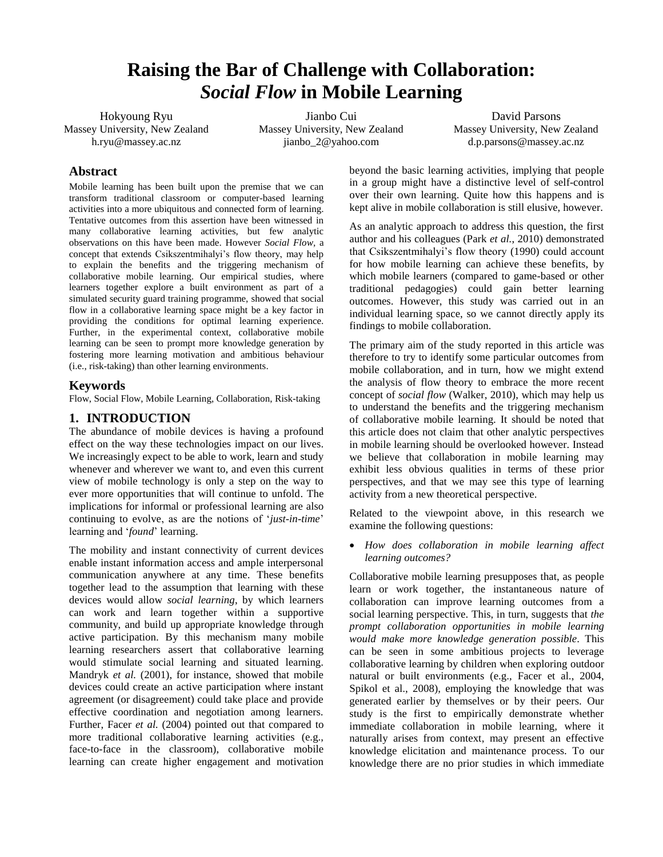# **Raising the Bar of Challenge with Collaboration:**  *Social Flow* **in Mobile Learning**

Hokyoung Ryu Massey University, New Zealand h.ryu@massey.ac.nz

Jianbo Cui Massey University, New Zealand jianbo\_2@yahoo.com

David Parsons Massey University, New Zealand d.p.parsons@massey.ac.nz

# **Abstract**

Mobile learning has been built upon the premise that we can transform traditional classroom or computer-based learning activities into a more ubiquitous and connected form of learning. Tentative outcomes from this assertion have been witnessed in many collaborative learning activities, but few analytic observations on this have been made. However *Social Flow,* a concept that extends Csikszentmihalyi"s flow theory, may help to explain the benefits and the triggering mechanism of collaborative mobile learning. Our empirical studies, where learners together explore a built environment as part of a simulated security guard training programme, showed that social flow in a collaborative learning space might be a key factor in providing the conditions for optimal learning experience. Further, in the experimental context, collaborative mobile learning can be seen to prompt more knowledge generation by fostering more learning motivation and ambitious behaviour (i.e., risk-taking) than other learning environments.

# **Keywords**

Flow, Social Flow, Mobile Learning, Collaboration, Risk-taking

# **1. INTRODUCTION**

The abundance of mobile devices is having a profound effect on the way these technologies impact on our lives. We increasingly expect to be able to work, learn and study whenever and wherever we want to, and even this current view of mobile technology is only a step on the way to ever more opportunities that will continue to unfold. The implications for informal or professional learning are also continuing to evolve, as are the notions of "*just-in-time*" learning and "*found*" learning.

The mobility and instant connectivity of current devices enable instant information access and ample interpersonal communication anywhere at any time. These benefits together lead to the assumption that learning with these devices would allow *social learning*, by which learners can work and learn together within a supportive community, and build up appropriate knowledge through active participation. By this mechanism many mobile learning researchers assert that collaborative learning would stimulate social learning and situated learning. Mandryk *et al.* (2001), for instance, showed that mobile devices could create an active participation where instant agreement (or disagreement) could take place and provide effective coordination and negotiation among learners. Further, Facer *et al.* (2004) pointed out that compared to more traditional collaborative learning activities (e.g., face-to-face in the classroom), collaborative mobile learning can create higher engagement and motivation beyond the basic learning activities, implying that people in a group might have a distinctive level of self-control over their own learning. Quite how this happens and is kept alive in mobile collaboration is still elusive, however.

As an analytic approach to address this question, the first author and his colleagues (Park *et al.*, 2010) demonstrated that Csikszentmihalyi"s flow theory (1990) could account for how mobile learning can achieve these benefits, by which mobile learners (compared to game-based or other traditional pedagogies) could gain better learning outcomes. However, this study was carried out in an individual learning space, so we cannot directly apply its findings to mobile collaboration.

The primary aim of the study reported in this article was therefore to try to identify some particular outcomes from mobile collaboration, and in turn, how we might extend the analysis of flow theory to embrace the more recent concept of *social flow* (Walker, 2010), which may help us to understand the benefits and the triggering mechanism of collaborative mobile learning. It should be noted that this article does not claim that other analytic perspectives in mobile learning should be overlooked however. Instead we believe that collaboration in mobile learning may exhibit less obvious qualities in terms of these prior perspectives, and that we may see this type of learning activity from a new theoretical perspective.

Related to the viewpoint above, in this research we examine the following questions:

 *How does collaboration in mobile learning affect learning outcomes?* 

Collaborative mobile learning presupposes that, as people learn or work together, the instantaneous nature of collaboration can improve learning outcomes from a social learning perspective. This, in turn, suggests that *the prompt collaboration opportunities in mobile learning would make more knowledge generation possible*. This can be seen in some ambitious projects to leverage collaborative learning by children when exploring outdoor natural or built environments (e.g., Facer et al., 2004, Spikol et al., 2008), employing the knowledge that was generated earlier by themselves or by their peers. Our study is the first to empirically demonstrate whether immediate collaboration in mobile learning, where it naturally arises from context, may present an effective knowledge elicitation and maintenance process. To our knowledge there are no prior studies in which immediate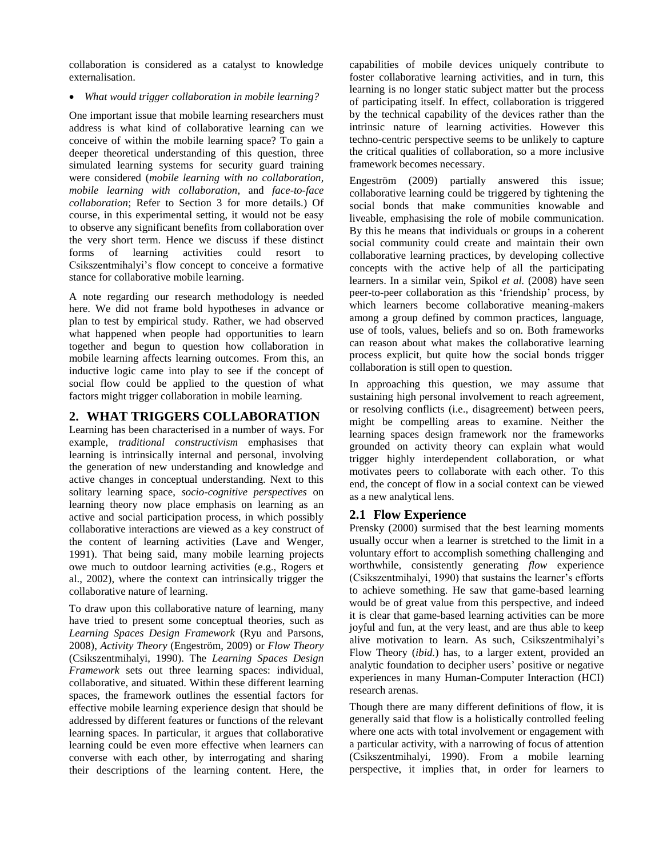collaboration is considered as a catalyst to knowledge externalisation.

*What would trigger collaboration in mobile learning?* 

One important issue that mobile learning researchers must address is what kind of collaborative learning can we conceive of within the mobile learning space? To gain a deeper theoretical understanding of this question, three simulated learning systems for security guard training were considered (*mobile learning with no collaboration*, *mobile learning with collaboration*, and *face-to-face collaboration*; Refer to Section 3 for more details.) Of course, in this experimental setting, it would not be easy to observe any significant benefits from collaboration over the very short term. Hence we discuss if these distinct forms of learning activities could resort to Csikszentmihalyi"s flow concept to conceive a formative stance for collaborative mobile learning.

A note regarding our research methodology is needed here. We did not frame bold hypotheses in advance or plan to test by empirical study. Rather, we had observed what happened when people had opportunities to learn together and begun to question how collaboration in mobile learning affects learning outcomes. From this, an inductive logic came into play to see if the concept of social flow could be applied to the question of what factors might trigger collaboration in mobile learning.

# **2. WHAT TRIGGERS COLLABORATION**

Learning has been characterised in a number of ways. For example, *traditional constructivism* emphasises that learning is intrinsically internal and personal, involving the generation of new understanding and knowledge and active changes in conceptual understanding. Next to this solitary learning space, *socio-cognitive perspectives* on learning theory now place emphasis on learning as an active and social participation process, in which possibly collaborative interactions are viewed as a key construct of the content of learning activities (Lave and Wenger, 1991). That being said, many mobile learning projects owe much to outdoor learning activities (e.g., Rogers et al., 2002), where the context can intrinsically trigger the collaborative nature of learning.

To draw upon this collaborative nature of learning, many have tried to present some conceptual theories, such as *Learning Spaces Design Framework* (Ryu and Parsons, 2008), *Activity Theory* (Engeström, 2009) or *Flow Theory* (Csikszentmihalyi, 1990). The *Learning Spaces Design Framework* sets out three learning spaces: individual, collaborative, and situated. Within these different learning spaces, the framework outlines the essential factors for effective mobile learning experience design that should be addressed by different features or functions of the relevant learning spaces. In particular, it argues that collaborative learning could be even more effective when learners can converse with each other, by interrogating and sharing their descriptions of the learning content. Here, the capabilities of mobile devices uniquely contribute to foster collaborative learning activities, and in turn, this learning is no longer static subject matter but the process of participating itself. In effect, collaboration is triggered by the technical capability of the devices rather than the intrinsic nature of learning activities. However this techno-centric perspective seems to be unlikely to capture the critical qualities of collaboration, so a more inclusive framework becomes necessary.

Engeström (2009) partially answered this issue; collaborative learning could be triggered by tightening the social bonds that make communities knowable and liveable, emphasising the role of mobile communication. By this he means that individuals or groups in a coherent social community could create and maintain their own collaborative learning practices, by developing collective concepts with the active help of all the participating learners. In a similar vein, Spikol *et al.* (2008) have seen peer-to-peer collaboration as this "friendship" process, by which learners become collaborative meaning-makers among a group defined by common practices, language, use of tools, values, beliefs and so on. Both frameworks can reason about what makes the collaborative learning process explicit, but quite how the social bonds trigger collaboration is still open to question.

In approaching this question, we may assume that sustaining high personal involvement to reach agreement, or resolving conflicts (i.e., disagreement) between peers, might be compelling areas to examine. Neither the learning spaces design framework nor the frameworks grounded on activity theory can explain what would trigger highly interdependent collaboration, or what motivates peers to collaborate with each other. To this end, the concept of flow in a social context can be viewed as a new analytical lens.

# **2.1 Flow Experience**

Prensky (2000) surmised that the best learning moments usually occur when a learner is stretched to the limit in a voluntary effort to accomplish something challenging and worthwhile, consistently generating *flow* experience (Csikszentmihalyi, 1990) that sustains the learner's efforts to achieve something. He saw that game-based learning would be of great value from this perspective, and indeed it is clear that game-based learning activities can be more joyful and fun, at the very least, and are thus able to keep alive motivation to learn. As such, Csikszentmihalyi"s Flow Theory (*ibid.*) has, to a larger extent, provided an analytic foundation to decipher users' positive or negative experiences in many Human-Computer Interaction (HCI) research arenas.

Though there are many different definitions of flow, it is generally said that flow is a holistically controlled feeling where one acts with total involvement or engagement with a particular activity, with a narrowing of focus of attention (Csikszentmihalyi, 1990). From a mobile learning perspective, it implies that, in order for learners to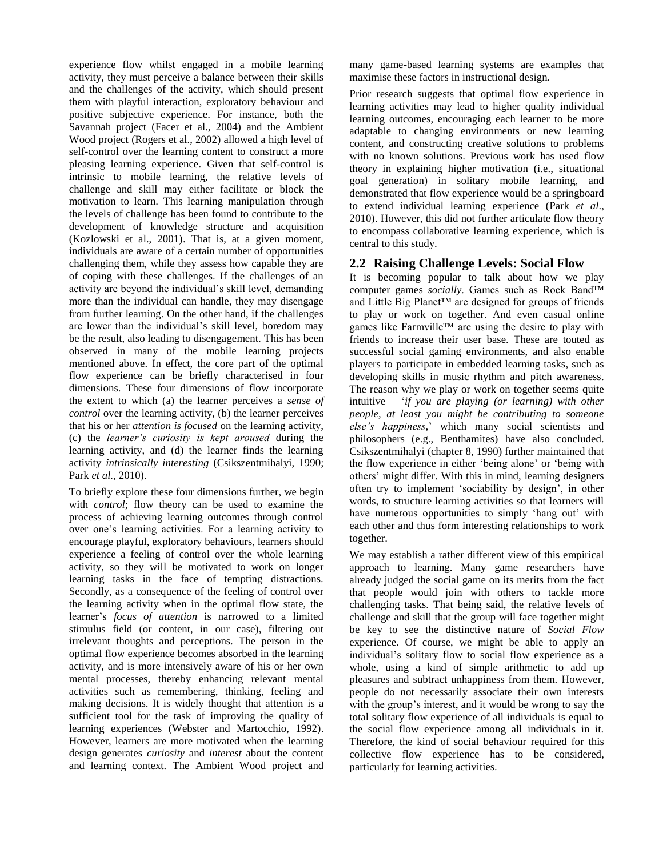experience flow whilst engaged in a mobile learning activity, they must perceive a balance between their skills and the challenges of the activity, which should present them with playful interaction, exploratory behaviour and positive subjective experience. For instance, both the Savannah project (Facer et al., 2004) and the Ambient Wood project (Rogers et al., 2002) allowed a high level of self-control over the learning content to construct a more pleasing learning experience. Given that self-control is intrinsic to mobile learning, the relative levels of challenge and skill may either facilitate or block the motivation to learn. This learning manipulation through the levels of challenge has been found to contribute to the development of knowledge structure and acquisition (Kozlowski et al., 2001). That is, at a given moment, individuals are aware of a certain number of opportunities challenging them, while they assess how capable they are of coping with these challenges. If the challenges of an activity are beyond the individual"s skill level, demanding more than the individual can handle, they may disengage from further learning. On the other hand, if the challenges are lower than the individual"s skill level, boredom may be the result, also leading to disengagement. This has been observed in many of the mobile learning projects mentioned above. In effect, the core part of the optimal flow experience can be briefly characterised in four dimensions. These four dimensions of flow incorporate the extent to which (a) the learner perceives a *sense of control* over the learning activity, (b) the learner perceives that his or her *attention is focused* on the learning activity, (c) the *learner's curiosity is kept aroused* during the learning activity, and (d) the learner finds the learning activity *intrinsically interesting* (Csikszentmihalyi, 1990; Park *et al.,* 2010).

To briefly explore these four dimensions further, we begin with *control*; flow theory can be used to examine the process of achieving learning outcomes through control over one"s learning activities. For a learning activity to encourage playful, exploratory behaviours, learners should experience a feeling of control over the whole learning activity, so they will be motivated to work on longer learning tasks in the face of tempting distractions. Secondly, as a consequence of the feeling of control over the learning activity when in the optimal flow state, the learner"s *focus of attention* is narrowed to a limited stimulus field (or content, in our case), filtering out irrelevant thoughts and perceptions. The person in the optimal flow experience becomes absorbed in the learning activity, and is more intensively aware of his or her own mental processes, thereby enhancing relevant mental activities such as remembering, thinking, feeling and making decisions. It is widely thought that attention is a sufficient tool for the task of improving the quality of learning experiences (Webster and Martocchio, 1992). However, learners are more motivated when the learning design generates *curiosity* and *interest* about the content and learning context. The Ambient Wood project and many game-based learning systems are examples that maximise these factors in instructional design.

Prior research suggests that optimal flow experience in learning activities may lead to higher quality individual learning outcomes, encouraging each learner to be more adaptable to changing environments or new learning content, and constructing creative solutions to problems with no known solutions. Previous work has used flow theory in explaining higher motivation (i.e., situational goal generation) in solitary mobile learning, and demonstrated that flow experience would be a springboard to extend individual learning experience (Park *et al*., 2010). However, this did not further articulate flow theory to encompass collaborative learning experience, which is central to this study.

# **2.2 Raising Challenge Levels: Social Flow**

It is becoming popular to talk about how we play computer games *socially*. Games such as Rock Band™ and Little Big Planet™ are designed for groups of friends to play or work on together. And even casual online games like Farmville™ are using the desire to play with friends to increase their user base. These are touted as successful social gaming environments, and also enable players to participate in embedded learning tasks, such as developing skills in music rhythm and pitch awareness. The reason why we play or work on together seems quite intuitive – "*if you are playing (or learning) with other people, at least you might be contributing to someone else's happiness,*" which many social scientists and philosophers (e.g., Benthamites) have also concluded. Csikszentmihalyi (chapter 8, 1990) further maintained that the flow experience in either "being alone" or "being with others" might differ. With this in mind, learning designers often try to implement "sociability by design", in other words, to structure learning activities so that learners will have numerous opportunities to simply 'hang out' with each other and thus form interesting relationships to work together.

We may establish a rather different view of this empirical approach to learning. Many game researchers have already judged the social game on its merits from the fact that people would join with others to tackle more challenging tasks. That being said, the relative levels of challenge and skill that the group will face together might be key to see the distinctive nature of *Social Flow* experience. Of course, we might be able to apply an individual"s solitary flow to social flow experience as a whole, using a kind of simple arithmetic to add up pleasures and subtract unhappiness from them. However, people do not necessarily associate their own interests with the group's interest, and it would be wrong to say the total solitary flow experience of all individuals is equal to the social flow experience among all individuals in it. Therefore, the kind of social behaviour required for this collective flow experience has to be considered, particularly for learning activities.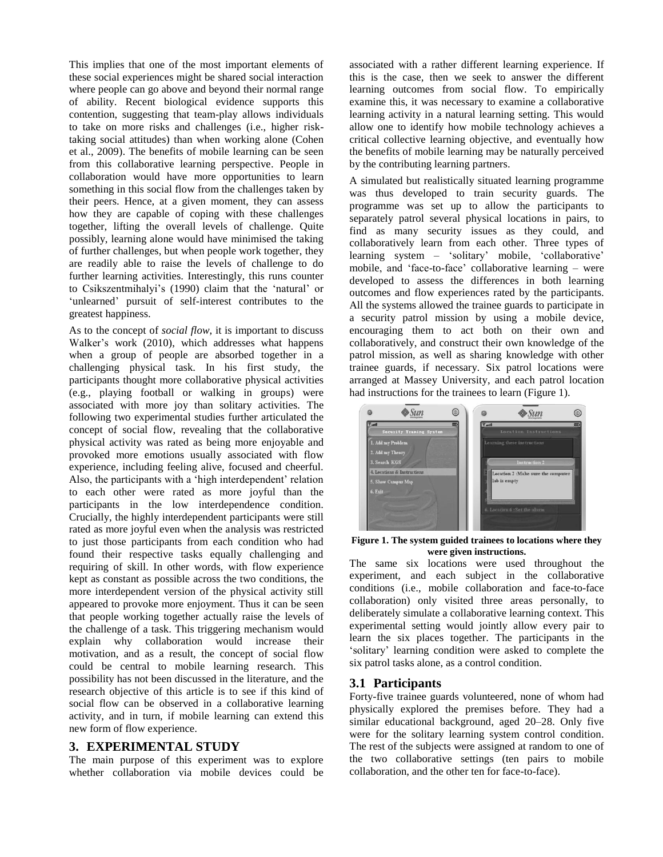This implies that one of the most important elements of these social experiences might be shared social interaction where people can go above and beyond their normal range of ability. Recent biological evidence supports this contention, suggesting that team-play allows individuals to take on more risks and challenges (i.e., higher risktaking social attitudes) than when working alone (Cohen et al., 2009). The benefits of mobile learning can be seen from this collaborative learning perspective. People in collaboration would have more opportunities to learn something in this social flow from the challenges taken by their peers. Hence, at a given moment, they can assess how they are capable of coping with these challenges together, lifting the overall levels of challenge. Quite possibly, learning alone would have minimised the taking of further challenges, but when people work together, they are readily able to raise the levels of challenge to do further learning activities. Interestingly, this runs counter to Csikszentmihalyi"s (1990) claim that the "natural" or 'unlearned' pursuit of self-interest contributes to the greatest happiness.

As to the concept of *social flow*, it is important to discuss Walker's work (2010), which addresses what happens when a group of people are absorbed together in a challenging physical task. In his first study, the participants thought more collaborative physical activities (e.g., playing football or walking in groups) were associated with more joy than solitary activities. The following two experimental studies further articulated the concept of social flow, revealing that the collaborative physical activity was rated as being more enjoyable and provoked more emotions usually associated with flow experience, including feeling alive, focused and cheerful. Also, the participants with a 'high interdependent' relation to each other were rated as more joyful than the participants in the low interdependence condition. Crucially, the highly interdependent participants were still rated as more joyful even when the analysis was restricted to just those participants from each condition who had found their respective tasks equally challenging and requiring of skill. In other words, with flow experience kept as constant as possible across the two conditions, the more interdependent version of the physical activity still appeared to provoke more enjoyment. Thus it can be seen that people working together actually raise the levels of the challenge of a task. This triggering mechanism would explain why collaboration would increase their motivation, and as a result, the concept of social flow could be central to mobile learning research. This possibility has not been discussed in the literature, and the research objective of this article is to see if this kind of social flow can be observed in a collaborative learning activity, and in turn, if mobile learning can extend this new form of flow experience.

#### **3. EXPERIMENTAL STUDY**

The main purpose of this experiment was to explore whether collaboration via mobile devices could be associated with a rather different learning experience. If this is the case, then we seek to answer the different learning outcomes from social flow. To empirically examine this, it was necessary to examine a collaborative learning activity in a natural learning setting. This would allow one to identify how mobile technology achieves a critical collective learning objective, and eventually how the benefits of mobile learning may be naturally perceived by the contributing learning partners.

A simulated but realistically situated learning programme was thus developed to train security guards. The programme was set up to allow the participants to separately patrol several physical locations in pairs, to find as many security issues as they could, and collaboratively learn from each other. Three types of learning system – 'solitary' mobile, 'collaborative' mobile, and 'face-to-face' collaborative learning – were developed to assess the differences in both learning outcomes and flow experiences rated by the participants. All the systems allowed the trainee guards to participate in a security patrol mission by using a mobile device, encouraging them to act both on their own and collaboratively, and construct their own knowledge of the patrol mission, as well as sharing knowledge with other trainee guards, if necessary. Six patrol locations were arranged at Massey University, and each patrol location had instructions for the trainees to learn (Figure 1).



**Figure 1. The system guided trainees to locations where they were given instructions.** 

The same six locations were used throughout the experiment, and each subject in the collaborative conditions (i.e., mobile collaboration and face-to-face collaboration) only visited three areas personally, to deliberately simulate a collaborative learning context. This experimental setting would jointly allow every pair to learn the six places together. The participants in the "solitary" learning condition were asked to complete the six patrol tasks alone, as a control condition.

#### **3.1 Participants**

Forty-five trainee guards volunteered, none of whom had physically explored the premises before. They had a similar educational background, aged 20–28. Only five were for the solitary learning system control condition. The rest of the subjects were assigned at random to one of the two collaborative settings (ten pairs to mobile collaboration, and the other ten for face-to-face).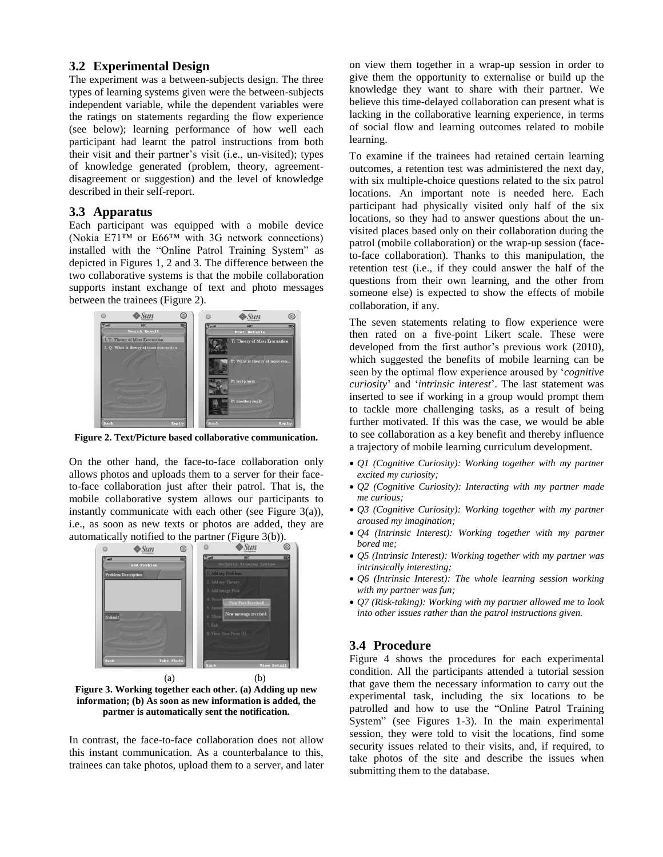#### **3.2 Experimental Design**

The experiment was a between-subjects design. The three types of learning systems given were the between-subjects independent variable, while the dependent variables were the ratings on statements regarding the flow experience (see below); learning performance of how well each participant had learnt the patrol instructions from both their visit and their partner"s visit (i.e., un-visited); types of knowledge generated (problem, theory, agreementdisagreement or suggestion) and the level of knowledge described in their self-report.

#### **3.3 Apparatus**

Each participant was equipped with a mobile device (Nokia E71™ or E66™ with 3G network connections) installed with the "Online Patrol Training System" as depicted in Figures 1, 2 and 3. The difference between the two collaborative systems is that the mobile collaboration supports instant exchange of text and photo messages between the trainees (Figure 2).



**Figure 2. Text/Picture based collaborative communication.**

On the other hand, the face-to-face collaboration only allows photos and uploads them to a server for their faceto-face collaboration just after their patrol. That is, the mobile collaborative system allows our participants to instantly communicate with each other (see Figure 3(a)), i.e., as soon as new texts or photos are added, they are automatically notified to the partner (Figure 3(b)).



**Figure 3. Working together each other. (a) Adding up new information; (b) As soon as new information is added, the partner is automatically sent the notification.**

In contrast, the face-to-face collaboration does not allow this instant communication. As a counterbalance to this, trainees can take photos, upload them to a server, and later on view them together in a wrap-up session in order to give them the opportunity to externalise or build up the knowledge they want to share with their partner. We believe this time-delayed collaboration can present what is lacking in the collaborative learning experience, in terms of social flow and learning outcomes related to mobile learning.

To examine if the trainees had retained certain learning outcomes, a retention test was administered the next day, with six multiple-choice questions related to the six patrol locations. An important note is needed here. Each participant had physically visited only half of the six locations, so they had to answer questions about the unvisited places based only on their collaboration during the patrol (mobile collaboration) or the wrap-up session (faceto-face collaboration). Thanks to this manipulation, the retention test (i.e., if they could answer the half of the questions from their own learning, and the other from someone else) is expected to show the effects of mobile collaboration, if any.

The seven statements relating to flow experience were then rated on a five-point Likert scale. These were developed from the first author's previous work (2010), which suggested the benefits of mobile learning can be seen by the optimal flow experience aroused by "*cognitive curiosity*" and "*intrinsic interest*". The last statement was inserted to see if working in a group would prompt them to tackle more challenging tasks, as a result of being further motivated. If this was the case, we would be able to see collaboration as a key benefit and thereby influence a trajectory of mobile learning curriculum development.

- *Q1 (Cognitive Curiosity): Working together with my partner excited my curiosity;*
- *Q2 (Cognitive Curiosity): Interacting with my partner made me curious;*
- *Q3 (Cognitive Curiosity): Working together with my partner aroused my imagination;*
- *Q4 (Intrinsic Interest): Working together with my partner bored me;*
- *Q5 (Intrinsic Interest): Working together with my partner was intrinsically interesting;*
- *Q6 (Intrinsic Interest): The whole learning session working with my partner was fun;*
- *Q7 (Risk-taking): Working with my partner allowed me to look into other issues rather than the patrol instructions given.*

#### **3.4 Procedure**

Figure 4 shows the procedures for each experimental condition. All the participants attended a tutorial session that gave them the necessary information to carry out the experimental task, including the six locations to be patrolled and how to use the "Online Patrol Training System" (see Figures 1-3). In the main experimental session, they were told to visit the locations, find some security issues related to their visits, and, if required, to take photos of the site and describe the issues when submitting them to the database.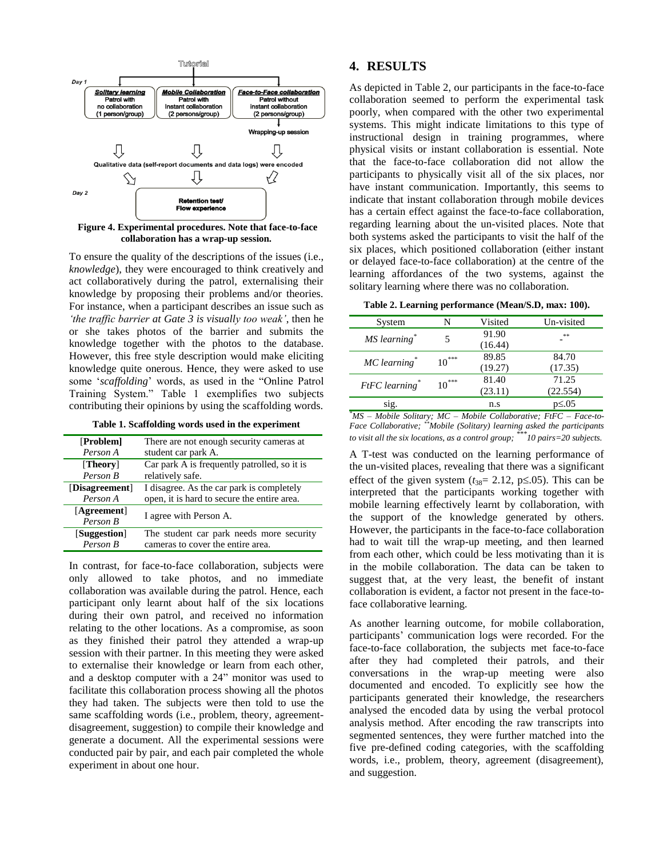

**Figure 4. Experimental procedures. Note that face-to-face collaboration has a wrap-up session.**

To ensure the quality of the descriptions of the issues (i.e., *knowledge*), they were encouraged to think creatively and act collaboratively during the patrol, externalising their knowledge by proposing their problems and/or theories. For instance, when a participant describes an issue such as *'the traffic barrier at Gate 3 is visually too weak'*, then he or she takes photos of the barrier and submits the knowledge together with the photos to the database. However, this free style description would make eliciting knowledge quite onerous. Hence, they were asked to use some "*scaffolding*" words, as used in the "Online Patrol Training System." Table 1 exemplifies two subjects contributing their opinions by using the scaffolding words.

**Table 1. Scaffolding words used in the experiment** 

| [Problem]      | There are not enough security cameras at     |  |
|----------------|----------------------------------------------|--|
| Person A       | student car park A.                          |  |
| [Theory]       | Car park A is frequently patrolled, so it is |  |
| Person B       | relatively safe.                             |  |
| [Disagreement] | I disagree. As the car park is completely    |  |
| Person A       | open, it is hard to secure the entire area.  |  |
| [Agreement]    | I agree with Person A.                       |  |
| Person B       |                                              |  |
| [Suggestion]   | The student car park needs more security     |  |
| Person B       | cameras to cover the entire area.            |  |

In contrast, for face-to-face collaboration, subjects were only allowed to take photos, and no immediate collaboration was available during the patrol. Hence, each participant only learnt about half of the six locations during their own patrol, and received no information relating to the other locations. As a compromise, as soon as they finished their patrol they attended a wrap-up session with their partner. In this meeting they were asked to externalise their knowledge or learn from each other, and a desktop computer with a 24" monitor was used to facilitate this collaboration process showing all the photos they had taken. The subjects were then told to use the same scaffolding words (i.e., problem, theory, agreementdisagreement, suggestion) to compile their knowledge and generate a document. All the experimental sessions were conducted pair by pair, and each pair completed the whole experiment in about one hour.

### **4. RESULTS**

As depicted in Table 2, our participants in the face-to-face collaboration seemed to perform the experimental task poorly, when compared with the other two experimental systems. This might indicate limitations to this type of instructional design in training programmes, where physical visits or instant collaboration is essential. Note that the face-to-face collaboration did not allow the participants to physically visit all of the six places, nor have instant communication. Importantly, this seems to indicate that instant collaboration through mobile devices has a certain effect against the face-to-face collaboration, regarding learning about the un-visited places. Note that both systems asked the participants to visit the half of the six places, which positioned collaboration (either instant or delayed face-to-face collaboration) at the centre of the learning affordances of the two systems, against the solitary learning where there was no collaboration.

**Table 2. Learning performance (Mean/S.D, max: 100).** 

| System                     | N       | Visited          | Un-visited        |
|----------------------------|---------|------------------|-------------------|
| MS learning*               |         | 91.90<br>(16.44) | **                |
| $MC$ learning <sup>*</sup> | $10***$ | 89.85<br>(19.27) | 84.70<br>(17.35)  |
| FtFC learning*             | $10***$ | 81.40<br>(23.11) | 71.25<br>(22.554) |
| sig.                       |         | n.s              | p≤.05             |

*\*MS – Mobile Solitary; MC – Mobile Collaborative; FtFC – Face-to-Face Collaborative; \*\*Mobile (Solitary) learning asked the participants to visit all the six locations, as a control group; \*\*\*10 pairs=20 subjects.* 

A T-test was conducted on the learning performance of the un-visited places, revealing that there was a significant effect of the given system  $(t_{38}= 2.12, p \le 0.05)$ . This can be interpreted that the participants working together with mobile learning effectively learnt by collaboration, with the support of the knowledge generated by others. However, the participants in the face-to-face collaboration had to wait till the wrap-up meeting, and then learned from each other, which could be less motivating than it is in the mobile collaboration. The data can be taken to suggest that, at the very least, the benefit of instant collaboration is evident, a factor not present in the face-toface collaborative learning.

As another learning outcome, for mobile collaboration, participants' communication logs were recorded. For the face-to-face collaboration, the subjects met face-to-face after they had completed their patrols, and their conversations in the wrap-up meeting were also documented and encoded. To explicitly see how the participants generated their knowledge, the researchers analysed the encoded data by using the verbal protocol analysis method. After encoding the raw transcripts into segmented sentences, they were further matched into the five pre-defined coding categories, with the scaffolding words, i.e., problem, theory, agreement (disagreement), and suggestion.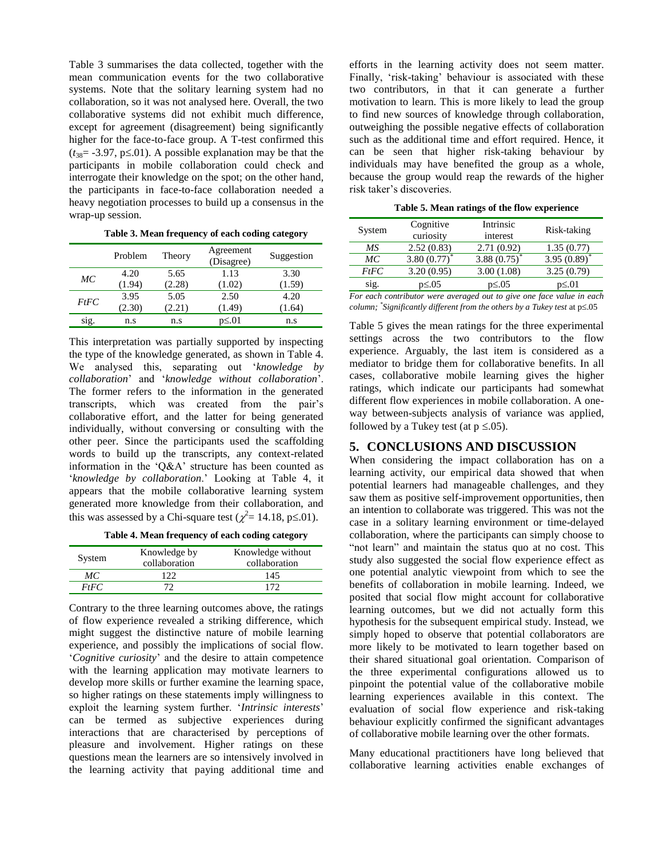Table 3 summarises the data collected, together with the mean communication events for the two collaborative systems. Note that the solitary learning system had no collaboration, so it was not analysed here. Overall, the two collaborative systems did not exhibit much difference, except for agreement (disagreement) being significantly higher for the face-to-face group. A T-test confirmed this  $(t_{38} = -3.97, p \le 01)$ . A possible explanation may be that the participants in mobile collaboration could check and interrogate their knowledge on the spot; on the other hand, the participants in face-to-face collaboration needed a heavy negotiation processes to build up a consensus in the wrap-up session.

**Table 3. Mean frequency of each coding category** 

|            | Problem | Theory | Agreement<br>(Disagree) | Suggestion |
|------------|---------|--------|-------------------------|------------|
| МC         | 4.20    | 5.65   | 1.13                    | 3.30       |
|            | (1.94)  | (2.28) | (1.02)                  | (1.59)     |
| $F$ t $FC$ | 3.95    | 5.05   | 2.50                    | 4.20       |
|            | (2.30)  | (2.21) | (1.49)                  | (1.64)     |
| sig.       | n.s     | n.s    | p≤.01                   | n.s        |

This interpretation was partially supported by inspecting the type of the knowledge generated, as shown in Table 4. We analysed this, separating out "*knowledge by collaboration*" and "*knowledge without collaboration*". The former refers to the information in the generated transcripts, which was created from the pair"s collaborative effort, and the latter for being generated individually, without conversing or consulting with the other peer. Since the participants used the scaffolding words to build up the transcripts, any context-related information in the 'Q&A' structure has been counted as "*knowledge by collaboration*." Looking at Table 4, it appears that the mobile collaborative learning system generated more knowledge from their collaboration, and this was assessed by a Chi-square test ( $\chi^2$  = 14.18, p i 0.01).

**Table 4. Mean frequency of each coding category** 

| System | Knowledge by<br>collaboration | Knowledge without<br>collaboration |
|--------|-------------------------------|------------------------------------|
| МC     |                               | 145                                |
| FtFC   |                               |                                    |

Contrary to the three learning outcomes above, the ratings of flow experience revealed a striking difference, which might suggest the distinctive nature of mobile learning experience, and possibly the implications of social flow. "*Cognitive curiosity*" and the desire to attain competence with the learning application may motivate learners to develop more skills or further examine the learning space, so higher ratings on these statements imply willingness to exploit the learning system further. 'Intrinsic interests' can be termed as subjective experiences during interactions that are characterised by perceptions of pleasure and involvement. Higher ratings on these questions mean the learners are so intensively involved in the learning activity that paying additional time and efforts in the learning activity does not seem matter. Finally, 'risk-taking' behaviour is associated with these two contributors, in that it can generate a further motivation to learn. This is more likely to lead the group to find new sources of knowledge through collaboration, outweighing the possible negative effects of collaboration such as the additional time and effort required. Hence, it can be seen that higher risk-taking behaviour by individuals may have benefited the group as a whole, because the group would reap the rewards of the higher risk taker"s discoveries.

**Table 5. Mean ratings of the flow experience**

| System | Cognitive<br>curiosity | Intrinsic<br>interest | Risk-taking  |
|--------|------------------------|-----------------------|--------------|
| МS     | 2.52(0.83)             | 2.71(0.92)            | 1.35(0.77)   |
| МC     | $3.80(0.77)^{*}$       | $3.88(0.75)^{*}$      | 3.95(0.89)   |
| FtFC   | 3.20(0.95)             | 3.00(1.08)            | 3.25(0.79)   |
| S1g.   | $p\leq 0.05$           | $p\leq 0.05$          | $p\leq 0.01$ |

*For each contributor were averaged out to give one face value in each column;*  $\degree$ *Significantly different from the others by a Tukey test at p* $\leq$ .05

Table 5 gives the mean ratings for the three experimental settings across the two contributors to the flow experience. Arguably, the last item is considered as a mediator to bridge them for collaborative benefits. In all cases, collaborative mobile learning gives the higher ratings, which indicate our participants had somewhat different flow experiences in mobile collaboration. A oneway between-subjects analysis of variance was applied, followed by a Tukey test (at  $p \le 0.05$ ).

#### **5. CONCLUSIONS AND DISCUSSION**

When considering the impact collaboration has on a learning activity, our empirical data showed that when potential learners had manageable challenges, and they saw them as positive self-improvement opportunities, then an intention to collaborate was triggered. This was not the case in a solitary learning environment or time-delayed collaboration, where the participants can simply choose to "not learn" and maintain the status quo at no cost. This study also suggested the social flow experience effect as one potential analytic viewpoint from which to see the benefits of collaboration in mobile learning. Indeed, we posited that social flow might account for collaborative learning outcomes, but we did not actually form this hypothesis for the subsequent empirical study. Instead, we simply hoped to observe that potential collaborators are more likely to be motivated to learn together based on their shared situational goal orientation. Comparison of the three experimental configurations allowed us to pinpoint the potential value of the collaborative mobile learning experiences available in this context. The evaluation of social flow experience and risk-taking behaviour explicitly confirmed the significant advantages of collaborative mobile learning over the other formats.

Many educational practitioners have long believed that collaborative learning activities enable exchanges of